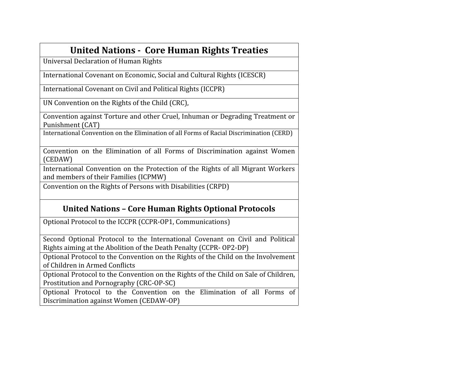| <b>United Nations - Core Human Rights Treaties</b>                                                                                                 |
|----------------------------------------------------------------------------------------------------------------------------------------------------|
| <b>Universal Declaration of Human Rights</b>                                                                                                       |
| International Covenant on Economic, Social and Cultural Rights (ICESCR)                                                                            |
| International Covenant on Civil and Political Rights (ICCPR)                                                                                       |
| UN Convention on the Rights of the Child (CRC),                                                                                                    |
| Convention against Torture and other Cruel, Inhuman or Degrading Treatment or<br>Punishment (CAT)                                                  |
| International Convention on the Elimination of all Forms of Racial Discrimination (CERD)                                                           |
| Convention on the Elimination of all Forms of Discrimination against Women<br>(CEDAW)                                                              |
| International Convention on the Protection of the Rights of all Migrant Workers<br>and members of their Families (ICPMW)                           |
| Convention on the Rights of Persons with Disabilities (CRPD)                                                                                       |
| <b>United Nations - Core Human Rights Optional Protocols</b>                                                                                       |
| Optional Protocol to the ICCPR (CCPR-OP1, Communications)                                                                                          |
| Second Optional Protocol to the International Covenant on Civil and Political<br>Rights aiming at the Abolition of the Death Penalty (CCPR-OP2-DP) |
| Optional Protocol to the Convention on the Rights of the Child on the Involvement<br>of Children in Armed Conflicts                                |
| Optional Protocol to the Convention on the Rights of the Child on Sale of Children,<br>Prostitution and Pornography (CRC-OP-SC)                    |
| Optional Distance to the Convention on the Elimination of all Forms of                                                                             |

Optional Protocol to the Convention on the Elimination of all Forms of Discrimination against Women (CEDAW-OP)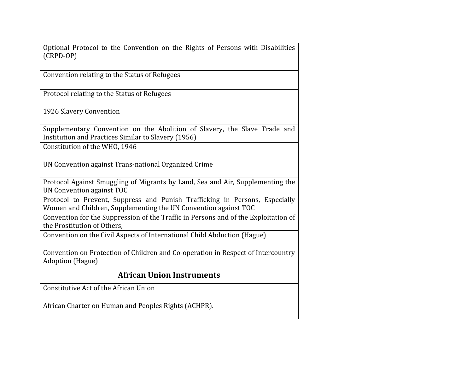Optional Protocol to the Convention on the Rights of Persons with Disabilities (CRPD-OP)

Convention relating to the Status of Refugees

Protocol relating to the Status of Refugees

1926 Slavery Convention

Supplementary Convention on the Abolition of Slavery, the Slave Trade and Institution and Practices Similar to Slavery (1956)

Constitution of the WHO, 1946

UN Convention against Trans-national Organized Crime

Protocol Against Smuggling of Migrants by Land, Sea and Air, Supplementing the UN Convention against TOC

Protocol to Prevent, Suppress and Punish Trafficking in Persons, Especially Women and Children, Supplementing the UN Convention against TOC

Convention for the Suppression of the Traffic in Persons and of the Exploitation of the Prostitution of Others,

Convention on the Civil Aspects of International Child Abduction (Hague)

Convention on Protection of Children and Co-operation in Respect of Intercountry Adoption (Hague)

## **African Union Instruments**

Constitutive Act of the African Union

African Charter on Human and Peoples Rights (ACHPR).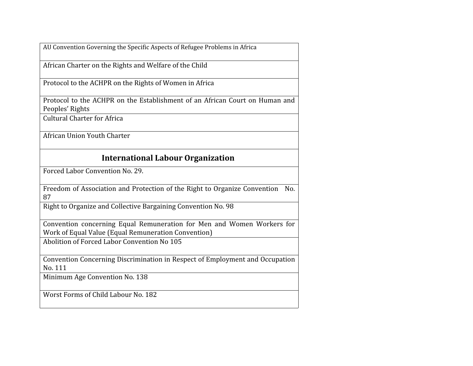AU Convention Governing the Specific Aspects of Refugee Problems in Africa

African Charter on the Rights and Welfare of the Child

Protocol to the ACHPR on the Rights of Women in Africa

Protocol to the ACHPR on the Establishment of an African Court on Human and Peoples' Rights

Cultural Charter for Africa

African Union Youth Charter

## **International Labour Organization**

Forced Labor Convention No. 29.

Freedom of Association and Protection of the Right to Organize Convention No. 87

Right to Organize and Collective Bargaining Convention No. 98

Convention concerning Equal Remuneration for Men and Women Workers for Work of Equal Value (Equal Remuneration Convention)

Abolition of Forced Labor Convention No 105

Convention Concerning Discrimination in Respect of Employment and Occupation No. 111

Minimum Age Convention No. 138

Worst Forms of Child Labour No. 182